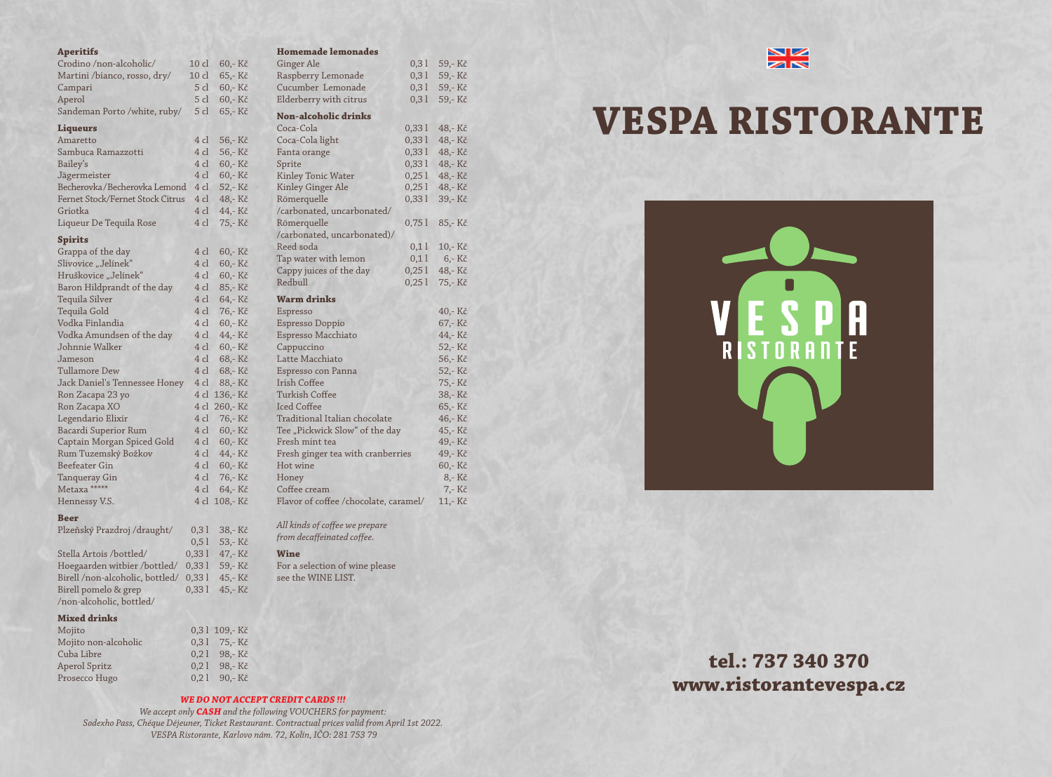# *WE DO NOT ACCEPT CREDIT CARDS !!!*

*We accept only CASH and the following VOUCHERS for payment: Sodexho Pass, Chéque Déjeuner, Ticket Restaurant. Contractual prices valid from April 1st 2022. VESPA Ristorante, Karlovo nám. 72, Kolín, IČO: 281 753 79*



**tel.: 737 340 370**

# **www.ristorantevespa.cz**



#### **Aperitifs**

| Crodino /non-alcoholic/          | 10 <sub>cl</sub> | 60,-Kč   |
|----------------------------------|------------------|----------|
| Martini /bianco, rosso, dry/     | $10$ $cl$        | 65,-Kč   |
| Campari                          | 5 cl             | 60,-Kč   |
| Aperol                           | 5 cl             | 60,-Kč   |
| Sandeman Porto /white, ruby/     | 5 cl             | 65,-Kč   |
| <b>Liqueurs</b>                  |                  |          |
| Amaretto                         | 4 cl             | 56,-Kč   |
| Sambuca Ramazzotti               | 4 cl             | 56,-Kč   |
| Bailey's                         | 4 cl             | 60,-Kč   |
| Jägermeister                     | 4 cl             | 60,-Kč   |
| Becherovka/Becherovka Lemond     | 4 cl             | 52,-Kč   |
| Fernet Stock/Fernet Stock Citrus | 4 cl             | 48,-Kč   |
| Griotka                          | 4 cl             | 44,- Kč  |
| Liqueur De Tequila Rose          | 4 cl             | 75,-Kč   |
| <b>Spirits</b>                   |                  |          |
| Grappa of the day                | 4 cl             | 60,- Kč  |
| Slivovice "Jelínek"              | 4 cl             | 60,-Kč   |
| Hruškovice "Jelínek"             | 4 cl             | 60,-Kč   |
| Baron Hildprandt of the day      | 4 cl             | 85,- Kč  |
| <b>Tequila Silver</b>            | 4 cl             | 64,-Kč   |
| Tequila Gold                     | 4 cl             | 76,-Kč   |
| Vodka Finlandia                  | 4 cl             | 60,-Kč   |
| Vodka Amundsen of the day        | 4 cl             | 44,- Kč  |
| Johnnie Walker                   | 4 cl             | 60,-Kč   |
| Jameson                          | 4 cl             | 68,-Kč   |
| <b>Tullamore Dew</b>             | 4 cl             | 68,-Kč   |
| Jack Daniel's Tennessee Honey    | 4 cl             | 88,-Kč   |
| Ron Zacapa 23 yo                 | 4 cl             | 136,- Kč |
| Ron Zacapa XO                    | 4 cl             | 260,-Kč  |
| Legendario Elixír                | 4 cl             | 76,-Kč   |
| Bacardi Superior Rum             | 4 cl             | 60,-Kč   |
| Captain Morgan Spiced Gold       | 4 cl             | 60,-Kč   |
| Rum Tuzemský Božkov              | 4 cl             | 44,- Kč  |
| <b>Beefeater Gin</b>             | 4 cl             | 60,-Kč   |
| Tanqueray Gin                    | 4 cl             | 76,- Kč  |
| Metaxa *****                     | 4 cl             | 64,-Kč   |
| Hennessy V.S.                    | 4 cl             | 108,-Kč  |
|                                  |                  |          |

# **Beer**

| Plzeňský Prazdroj /draught/     | 0,31  | 38,-Kč |
|---------------------------------|-------|--------|
|                                 | 0,51  | 53,-Kč |
| Stella Artois /bottled/         | 0,331 | 47,-Kč |
| Hoegaarden witbier /bottled/    | 0,331 | 59,-Kč |
| Birell /non-alcoholic, bottled/ | 0,331 | 45,-Kč |
| Birell pomelo & grep            | 0,331 | 45,-Kč |
| /non-alcoholic, bottled/        |       |        |

#### **Mixed drinks**

| Mojito               | 0,31 109,-Kč  |
|----------------------|---------------|
| Mojito non-alcoholic | 0.31 75,-Kč   |
| Cuba Libre           | $0,21$ 98,-Kč |
| Aperol Spritz        | 0,21 98,-Kč   |
| Prosecco Hugo        | $0,21$ 90,-Kč |
|                      |               |

#### **Homemade lemonades**

| <b>Ginger Ale</b>                     | 0,31  | 59,-Kč |
|---------------------------------------|-------|--------|
| Raspberry Lemonade                    | 0,31  | 59,-Kč |
| Cucumber Lemonade                     | 0,31  | 59,-Kč |
| Elderberry with citrus                | 0,31  | 59,-Kč |
| <b>Non-alcoholic drinks</b>           |       |        |
| Coca-Cola                             | 0,331 | 48,-Kč |
| Coca-Cola light                       | 0,331 | 48,-Kč |
| Fanta orange                          | 0,331 | 48,-Kč |
| Sprite                                | 0,331 | 48,-Kč |
| <b>Kinley Tonic Water</b>             | 0,251 | 48,-Kč |
| <b>Kinley Ginger Ale</b>              | 0,251 | 48,-Kč |
| Römerquelle                           | 0,331 | 39,-Kč |
| /carbonated, uncarbonated/            |       |        |
| Römerquelle                           | 0,751 | 85,-Kč |
| /carbonated, uncarbonated)/           |       |        |
| Reed soda                             | 0,11  | 10,-Kč |
| Tap water with lemon                  | 0,11  | 6,-Kč  |
| Cappy juices of the day               | 0,251 | 48,-Kč |
| Redbull                               | 0,251 | 75,-Kč |
| <b>Warm drinks</b>                    |       |        |
| Espresso                              |       | 40,-Kč |
| <b>Espresso Doppio</b>                |       | 67,-Kč |
| Espresso Macchiato                    |       | 44,-Kč |
| Cappuccino                            |       | 52,-Kč |
| Latte Macchiato                       |       | 56,-Kč |
| Espresso con Panna                    |       | 52,-Kč |
| <b>Irish Coffee</b>                   |       | 75,-Kč |
| <b>Turkish Coffee</b>                 |       | 38,-Kč |
| <b>Iced Coffee</b>                    |       | 65,-Kč |
| Traditional Italian chocolate         |       | 46,-Kč |
| Tee "Pickwick Slow" of the day        |       | 45,-Kč |
| Fresh mint tea                        |       | 49,-Kč |
| Fresh ginger tea with cranberries     |       | 49,-Kč |
| Hot wine                              |       | 60,-Kč |
| Honey                                 |       | 8,-Kč  |
| Coffee cream                          |       | 7,- Kč |
| Flavor of coffee /chocolate, caramel/ |       | 11,-Kč |

*All kinds of coffee we prepare from decaffeinated coffee.*

#### **Wine**

For a selection of wine please see the WINE LIST.

# **VESPA RISTORANTE**